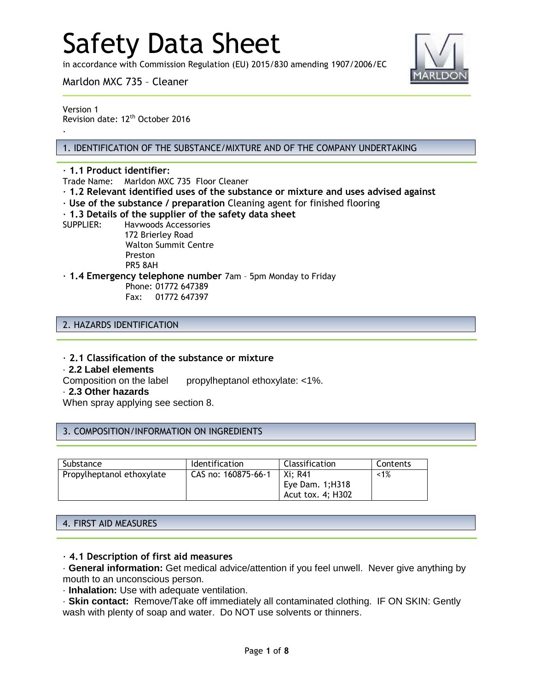in accordance with Commission Regulation (EU) 2015/830 amending 1907/2006/EC

Marldon MXC 735 – Cleaner



Version 1 Revision date: 12<sup>th</sup> October 2016

.

#### 1. IDENTIFICATION OF THE SUBSTANCE/MIXTURE AND OF THE COMPANY UNDERTAKING

#### · **1.1 Product identifier:**

Trade Name: Marldon MXC 735 Floor Cleaner

- · **1.2 Relevant identified uses of the substance or mixture and uses advised against**
- · **Use of the substance / preparation** Cleaning agent for finished flooring

#### · **1.3 Details of the supplier of the safety data sheet**

SUPPLIER: Havwoods Accessories

172 Brierley Road Walton Summit Centre Preston PR5 8AH

· **1.4 Emergency telephone number** 7am – 5pm Monday to Friday

Phone: 01772 647389 Fax: 01772 647397

#### 2. HAZARDS IDENTIFICATION

· **2.1 Classification of the substance or mixture**

#### · **2.2 Label elements**

Composition on the label propylheptanol ethoxylate: <1%.

#### · **2.3 Other hazards**

When spray applying see section 8.

#### 3. COMPOSITION/INFORMATION ON INGREDIENTS

| Substance                 | <b>Identification</b> | Classification    | Contents |
|---------------------------|-----------------------|-------------------|----------|
| Propylheptanol ethoxylate | CAS no: 160875-66-1   | Xi: R41           | $~1\%$   |
|                           |                       | Eye Dam. $1;H318$ |          |
|                           |                       | Acut tox. 4; H302 |          |

#### 4. FIRST AID MEASURES

#### · **4.1 Description of first aid measures**

· **General information:** Get medical advice/attention if you feel unwell. Never give anything by mouth to an unconscious person.

· **Inhalation:** Use with adequate ventilation.

· **Skin contact:** Remove/Take off immediately all contaminated clothing. IF ON SKIN: Gently wash with plenty of soap and water. Do NOT use solvents or thinners.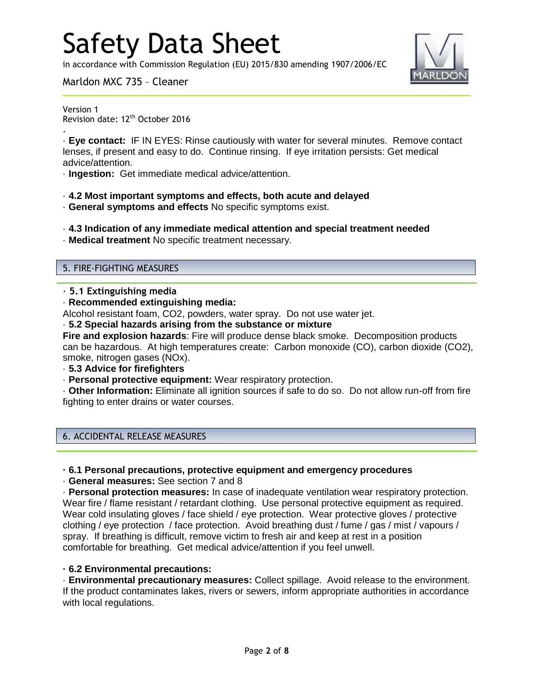in accordance with Commission Regulation (EU) 2015/830 amending 1907/2006/EC



Marldon MXC 735 – Cleaner

Version 1

.

Revision date: 12<sup>th</sup> October 2016

· **Eye contact:** IF IN EYES: Rinse cautiously with water for several minutes. Remove contact lenses, if present and easy to do. Continue rinsing. If eye irritation persists: Get medical advice/attention.

· **Ingestion:** Get immediate medical advice/attention.

- · **4.2 Most important symptoms and effects, both acute and delayed**
- · **General symptoms and effects** No specific symptoms exist.
- · **4.3 Indication of any immediate medical attention and special treatment needed**
- · **Medical treatment** No specific treatment necessary.

#### 5. FIRE-FIGHTING MEASURES

- · **5.1 Extinguishing media**
- · **Recommended extinguishing media:**

Alcohol resistant foam, CO2, powders, water spray. Do not use water jet.

· **5.2 Special hazards arising from the substance or mixture**

**Fire and explosion hazards**: Fire will produce dense black smoke. Decomposition products can be hazardous. At high temperatures create: Carbon monoxide (CO), carbon dioxide (CO2), smoke, nitrogen gases (NOx).

· **5.3 Advice for firefighters**

· **Personal protective equipment:** Wear respiratory protection.

· **Other Information:** Eliminate all ignition sources if safe to do so. Do not allow run-off from fire fighting to enter drains or water courses.

#### 6. ACCIDENTAL RELEASE MEASURES

#### **· 6.1 Personal precautions, protective equipment and emergency procedures**

· **General measures:** See section 7 and 8

· **Personal protection measures:** In case of inadequate ventilation wear respiratory protection. Wear fire / flame resistant / retardant clothing. Use personal protective equipment as required. Wear cold insulating gloves / face shield / eye protection. Wear protective gloves / protective clothing / eye protection / face protection. Avoid breathing dust / fume / gas / mist / vapours / spray. If breathing is difficult, remove victim to fresh air and keep at rest in a position comfortable for breathing. Get medical advice/attention if you feel unwell.

## **· 6.2 Environmental precautions:**

· **Environmental precautionary measures:** Collect spillage. Avoid release to the environment. If the product contaminates lakes, rivers or sewers, inform appropriate authorities in accordance with local regulations.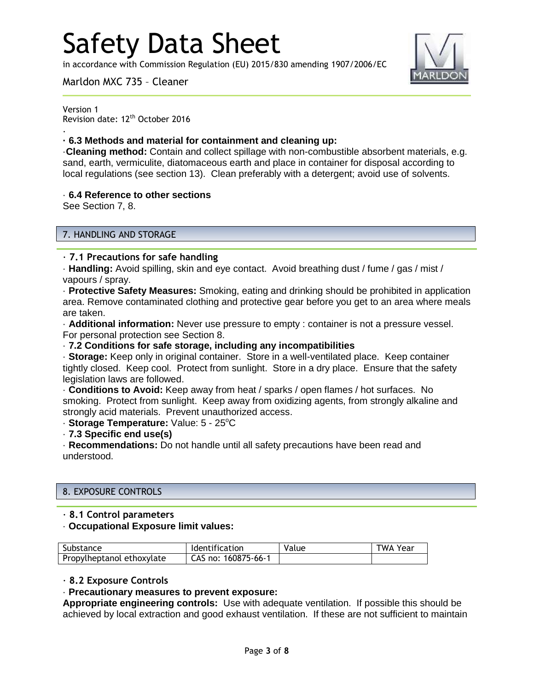in accordance with Commission Regulation (EU) 2015/830 amending 1907/2006/EC



Marldon MXC 735 – Cleaner

Version 1 Revision date: 12<sup>th</sup> October 2016

## **· 6.3 Methods and material for containment and cleaning up:**

·**Cleaning method:** Contain and collect spillage with non-combustible absorbent materials, e.g. sand, earth, vermiculite, diatomaceous earth and place in container for disposal according to local regulations (see section 13). Clean preferably with a detergent; avoid use of solvents.

## · **6.4 Reference to other sections**

See Section 7, 8.

.

## 7. HANDLING AND STORAGE

## · **7.1 Precautions for safe handling**

· **Handling:** Avoid spilling, skin and eye contact. Avoid breathing dust / fume / gas / mist / vapours / spray.

· **Protective Safety Measures:** Smoking, eating and drinking should be prohibited in application area. Remove contaminated clothing and protective gear before you get to an area where meals are taken.

· **Additional information:** Never use pressure to empty : container is not a pressure vessel. For personal protection see Section 8.

### · **7.2 Conditions for safe storage, including any incompatibilities**

· **Storage:** Keep only in original container. Store in a well-ventilated place. Keep container tightly closed. Keep cool. Protect from sunlight. Store in a dry place. Ensure that the safety legislation laws are followed.

· **Conditions to Avoid:** Keep away from heat / sparks / open flames / hot surfaces. No smoking. Protect from sunlight. Keep away from oxidizing agents, from strongly alkaline and strongly acid materials. Prevent unauthorized access.

· Storage Temperature: Value: 5 - 25°C

· **7.3 Specific end use(s)**

· **Recommendations:** Do not handle until all safety precautions have been read and understood.

## 8. EXPOSURE CONTROLS

## · **8.1 Control parameters**

#### · **Occupational Exposure limit values:**

| Substance                 | Identification      | Value | <b>TWA Year</b> |
|---------------------------|---------------------|-------|-----------------|
| Propylheptanol ethoxylate | CAS no: 160875-66-1 |       |                 |

## · **8.2 Exposure Controls**

## · **Precautionary measures to prevent exposure:**

**Appropriate engineering controls:** Use with adequate ventilation. If possible this should be achieved by local extraction and good exhaust ventilation. If these are not sufficient to maintain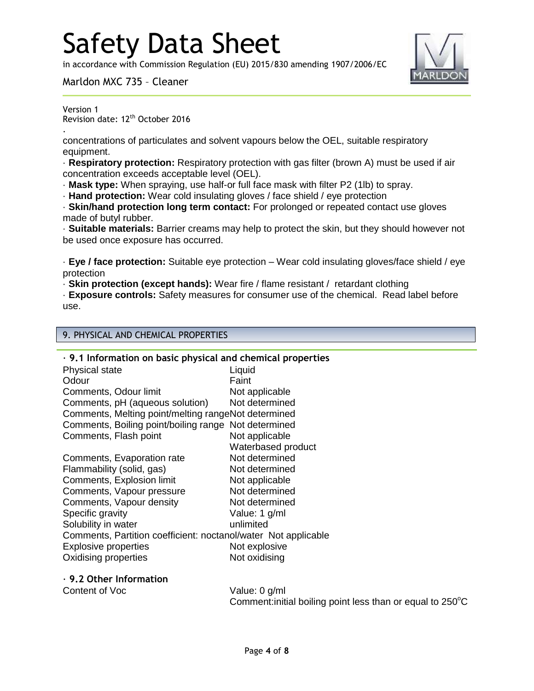in accordance with Commission Regulation (EU) 2015/830 amending 1907/2006/EC

Marldon MXC 735 – Cleaner



Version 1 Revision date: 12<sup>th</sup> October 2016

.

concentrations of particulates and solvent vapours below the OEL, suitable respiratory equipment.

· **Respiratory protection:** Respiratory protection with gas filter (brown A) must be used if air concentration exceeds acceptable level (OEL).

· **Mask type:** When spraying, use half-or full face mask with filter P2 (1lb) to spray.

· **Hand protection:** Wear cold insulating gloves / face shield / eye protection

· **Skin/hand protection long term contact:** For prolonged or repeated contact use gloves made of butyl rubber.

· **Suitable materials:** Barrier creams may help to protect the skin, but they should however not be used once exposure has occurred.

· **Eye / face protection:** Suitable eye protection – Wear cold insulating gloves/face shield / eye protection

· **Skin protection (except hands):** Wear fire / flame resistant / retardant clothing

· **Exposure controls:** Safety measures for consumer use of the chemical. Read label before use.

## 9. PHYSICAL AND CHEMICAL PROPERTIES

| $\cdot$ 9.1 Information on basic physical and chemical properties |                    |  |
|-------------------------------------------------------------------|--------------------|--|
| <b>Physical state</b>                                             | Liquid             |  |
| Odour                                                             | Faint              |  |
| Comments, Odour limit                                             | Not applicable     |  |
| Comments, pH (aqueous solution)                                   | Not determined     |  |
| Comments, Melting point/melting rangeNot determined               |                    |  |
| Comments, Boiling point/boiling range Not determined              |                    |  |
| Comments, Flash point                                             | Not applicable     |  |
|                                                                   | Waterbased product |  |
| Comments, Evaporation rate                                        | Not determined     |  |
| Flammability (solid, gas)                                         | Not determined     |  |
| Comments, Explosion limit                                         | Not applicable     |  |
| Comments, Vapour pressure                                         | Not determined     |  |
| Comments, Vapour density                                          | Not determined     |  |
| Specific gravity                                                  | Value: 1 g/ml      |  |
| Solubility in water                                               | unlimited          |  |
| Comments, Partition coefficient: noctanol/water Not applicable    |                    |  |
| <b>Explosive properties</b>                                       | Not explosive      |  |
| Oxidising properties                                              | Not oxidising      |  |
| $\cdot$ 9.2 Other Information                                     |                    |  |
| Content of Voc                                                    | Value: 0 g/ml      |  |

Comment: initial boiling point less than or equal to  $250^{\circ}$ C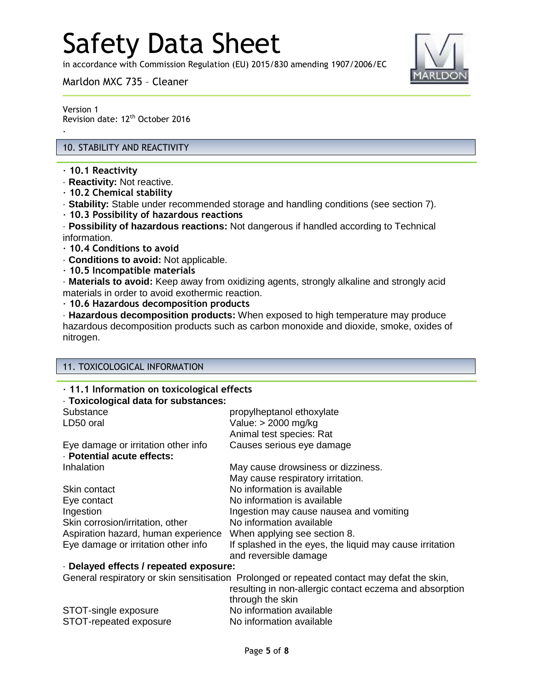in accordance with Commission Regulation (EU) 2015/830 amending 1907/2006/EC

Marldon MXC 735 – Cleaner



Version 1 Revision date: 12<sup>th</sup> October 2016

## 10. STABILITY AND REACTIVITY

· **10.1 Reactivity**

.

- · **Reactivity:** Not reactive.
- · **10.2 Chemical stability**
- · **Stability:** Stable under recommended storage and handling conditions (see section 7).
- · **10.3 Possibility of hazardous reactions**

· **Possibility of hazardous reactions:** Not dangerous if handled according to Technical information.

- · **10.4 Conditions to avoid**
- · **Conditions to avoid:** Not applicable.
- · **10.5 Incompatible materials**

· **Materials to avoid:** Keep away from oxidizing agents, strongly alkaline and strongly acid materials in order to avoid exothermic reaction.

· **10.6 Hazardous decomposition products**

· **Hazardous decomposition products:** When exposed to high temperature may produce hazardous decomposition products such as carbon monoxide and dioxide, smoke, oxides of nitrogen.

### 11. TOXICOLOGICAL INFORMATION

| · 11.1 Information on toxicological effects |                                                          |  |
|---------------------------------------------|----------------------------------------------------------|--|
| · Toxicological data for substances:        |                                                          |  |
| Substance                                   | propylheptanol ethoxylate                                |  |
| LD50 oral                                   | Value: > 2000 mg/kg                                      |  |
|                                             | Animal test species: Rat                                 |  |
| Eye damage or irritation other info         | Causes serious eye damage                                |  |
| · Potential acute effects:                  |                                                          |  |
| Inhalation                                  | May cause drowsiness or dizziness.                       |  |
|                                             | May cause respiratory irritation.                        |  |
| Skin contact                                | No information is available                              |  |
| Eye contact                                 | No information is available                              |  |
| Ingestion                                   | Ingestion may cause nausea and vomiting                  |  |
| Skin corrosion/irritation, other            | No information available                                 |  |
| Aspiration hazard, human experience         | When applying see section 8.                             |  |
| Eye damage or irritation other info         | If splashed in the eyes, the liquid may cause irritation |  |
|                                             | and reversible damage                                    |  |
| Delayed effects / repeated exposure:        |                                                          |  |

General respiratory or skin sensitisation Prolonged or repeated contact may defat the skin,

|                        | resulting in non-allergic contact eczema and absorption |
|------------------------|---------------------------------------------------------|
|                        | through the skin                                        |
| STOT-single exposure   | No information available                                |
| STOT-repeated exposure | No information available                                |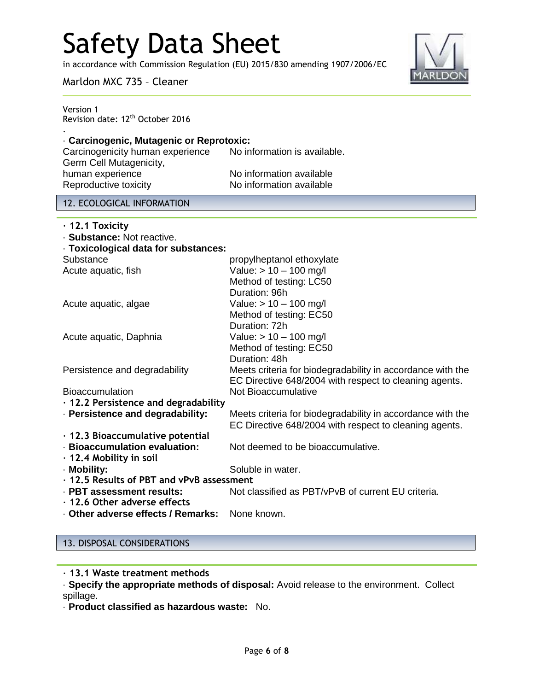in accordance with Commission Regulation (EU) 2015/830 amending 1907/2006/EC



Marldon MXC 735 – Cleaner

| Version 1<br>Revision date: 12 <sup>th</sup> October 2016 |  |
|-----------------------------------------------------------|--|
| Carcinogenic, Mutagenic or Reprotoxic:                    |  |

Carcinogenicity human experience No information is available. Germ Cell Mutagenicity, human experience No information available Reproductive toxicity No information available

## 12. ECOLOGICAL INFORMATION

| · Toxicological data for substances:                       |
|------------------------------------------------------------|
| propylheptanol ethoxylate                                  |
| Value: $> 10 - 100$ mg/l                                   |
| Method of testing: LC50                                    |
| Duration: 96h                                              |
| Value: $> 10 - 100$ mg/l                                   |
| Method of testing: EC50                                    |
| Duration: 72h                                              |
| Value: $> 10 - 100$ mg/l                                   |
| Method of testing: EC50                                    |
| Duration: 48h                                              |
| Meets criteria for biodegradability in accordance with the |
| EC Directive 648/2004 with respect to cleaning agents.     |
| Not Bioaccumulative                                        |
| $\cdot$ 12.2 Persistence and degradability                 |
| Meets criteria for biodegradability in accordance with the |
| EC Directive 648/2004 with respect to cleaning agents.     |
|                                                            |
| Not deemed to be bioaccumulative.                          |
|                                                            |
| Soluble in water.                                          |
| • 12.5 Results of PBT and vPvB assessment                  |
| Not classified as PBT/vPvB of current EU criteria.         |
|                                                            |
| None known.                                                |
|                                                            |

## 13. DISPOSAL CONSIDERATIONS

· **13.1 Waste treatment methods**

· **Specify the appropriate methods of disposal:** Avoid release to the environment. Collect spillage.

· **Product classified as hazardous waste:** No.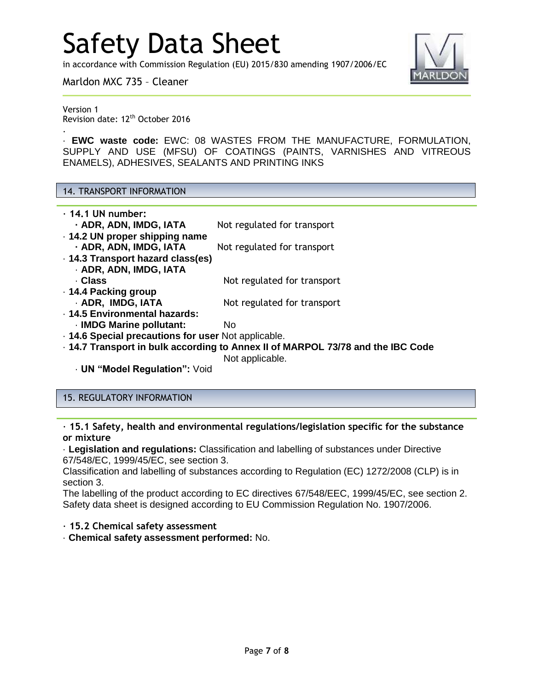in accordance with Commission Regulation (EU) 2015/830 amending 1907/2006/EC



Marldon MXC 735 – Cleaner

Version 1 Revision date: 12<sup>th</sup> October 2016

.

· **EWC waste code:** EWC: 08 WASTES FROM THE MANUFACTURE, FORMULATION, SUPPLY AND USE (MFSU) OF COATINGS (PAINTS, VARNISHES AND VITREOUS ENAMELS), ADHESIVES, SEALANTS AND PRINTING INKS

#### 14. TRANSPORT INFORMATION

| $\cdot$ 14.1 UN number:                             |                                                                                 |
|-----------------------------------------------------|---------------------------------------------------------------------------------|
| - ADR, ADN, IMDG, IATA                              | Not regulated for transport                                                     |
| . 14.2 UN proper shipping name                      |                                                                                 |
| - ADR, ADN, IMDG, IATA                              | Not regulated for transport                                                     |
| · 14.3 Transport hazard class(es)                   |                                                                                 |
| · ADR, ADN, IMDG, IATA                              |                                                                                 |
| · Class                                             | Not regulated for transport                                                     |
| ⋅ 14.4 Packing group                                |                                                                                 |
| · ADR, IMDG, IATA                                   | Not regulated for transport                                                     |
| · 14.5 Environmental hazards:                       |                                                                                 |
| · IMDG Marine pollutant:                            | No.                                                                             |
| . 14.6 Special precautions for user Not applicable. |                                                                                 |
|                                                     | - 14.7 Transport in bulk according to Annex II of MARPOL 73/78 and the IBC Code |
|                                                     | Not applicable.                                                                 |
| <b>UN "Model Regulation": Void</b>                  |                                                                                 |

## 15. REGULATORY INFORMATION

· **15.1 Safety, health and environmental regulations/legislation specific for the substance or mixture**

· **Legislation and regulations:** Classification and labelling of substances under Directive 67/548/EC, 1999/45/EC, see section 3.

Classification and labelling of substances according to Regulation (EC) 1272/2008 (CLP) is in section 3.

The labelling of the product according to EC directives 67/548/EEC, 1999/45/EC, see section 2. Safety data sheet is designed according to EU Commission Regulation No. 1907/2006.

· **15.2 Chemical safety assessment**

· **Chemical safety assessment performed:** No.